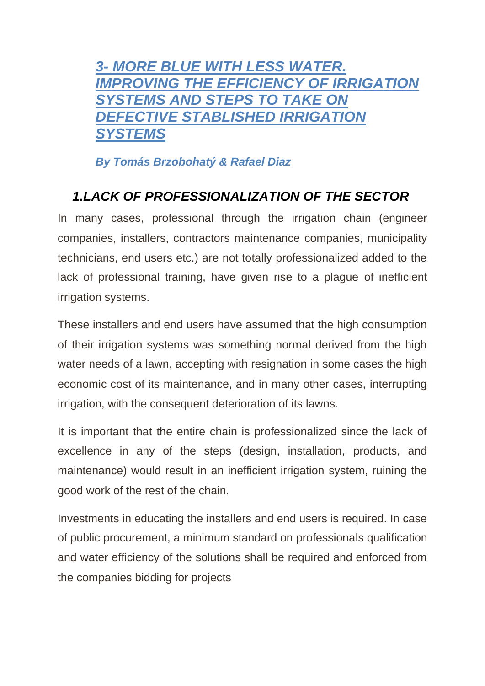# *3- MORE BLUE WITH LESS WATER. IMPROVING THE EFFICIENCY OF IRRIGATION SYSTEMS AND STEPS TO TAKE ON DEFECTIVE STABLISHED IRRIGATION SYSTEMS*

*By Tomás Brzobohatý & Rafael Diaz*

# *1.LACK OF PROFESSIONALIZATION OF THE SECTOR*

In many cases, professional through the irrigation chain (engineer companies, installers, contractors maintenance companies, municipality technicians, end users etc.) are not totally professionalized added to the lack of professional training, have given rise to a plague of inefficient irrigation systems.

These installers and end users have assumed that the high consumption of their irrigation systems was something normal derived from the high water needs of a lawn, accepting with resignation in some cases the high economic cost of its maintenance, and in many other cases, interrupting irrigation, with the consequent deterioration of its lawns.

It is important that the entire chain is professionalized since the lack of excellence in any of the steps (design, installation, products, and maintenance) would result in an inefficient irrigation system, ruining the good work of the rest of the chain.

Investments in educating the installers and end users is required. In case of public procurement, a minimum standard on professionals qualification and water efficiency of the solutions shall be required and enforced from the companies bidding for projects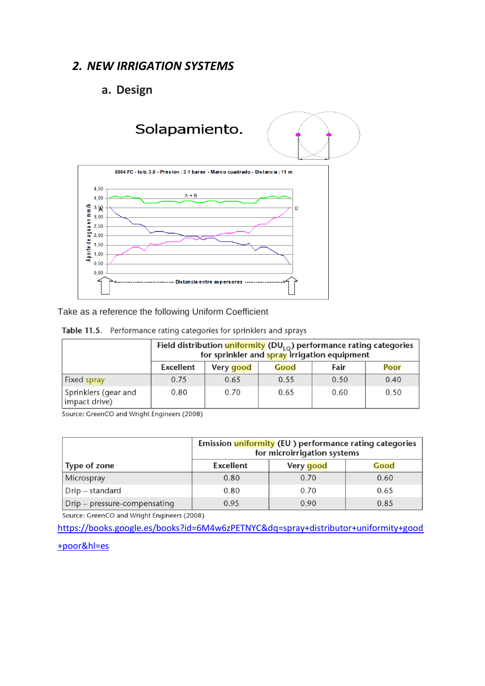#### *2. NEW IRRIGATION SYSTEMS*

### **a. Design**



Take as a reference the following Uniform Coefficient

| Table 11.5. Performance rating categories for sprinklers and sprays |  |  |  |  |
|---------------------------------------------------------------------|--|--|--|--|
|                                                                     |  |  |  |  |

|                                       | Field distribution <i>uniformity</i> ( $DU_{10}$ ) performance rating categories<br>for sprinkler and spray irrigation equipment |           |      |      |      |  |
|---------------------------------------|----------------------------------------------------------------------------------------------------------------------------------|-----------|------|------|------|--|
|                                       | <b>Excellent</b>                                                                                                                 | Very good | Good | Fair | Poor |  |
| Fixed spray                           | 0.75                                                                                                                             | 0.65      | 0.55 | 0.50 | 0.40 |  |
| Sprinklers (gear and<br>impact drive) | 0.80                                                                                                                             | 0.70      | 0.65 | 0.60 | 0.50 |  |

Source: GreenCO and Wright Engineers (2008)

|                              | Emission <i>uniformity</i> (EU) performance rating categories<br>for microirrigation systems |           |      |  |  |  |  |
|------------------------------|----------------------------------------------------------------------------------------------|-----------|------|--|--|--|--|
| Type of zone                 | Excellent                                                                                    | Very good | Good |  |  |  |  |
| Microspray                   | 0.80                                                                                         | 0.70      | 0.60 |  |  |  |  |
| Drip – standard              | 0.80                                                                                         | 0.70      | 0.65 |  |  |  |  |
| Drip - pressure-compensating | 0.95                                                                                         | 0.90      | 0.85 |  |  |  |  |

Source: GreenCO and Wright Engineers (2008)

[https://books.google.es/books?id=6M4w6zPETNYC&dq=spray+distributor+uniformity+good](https://books.google.es/books?id=6M4w6zPETNYC&dq=spray+distributor+uniformity+good+poor&hl=es)

[+poor&hl=es](https://books.google.es/books?id=6M4w6zPETNYC&dq=spray+distributor+uniformity+good+poor&hl=es)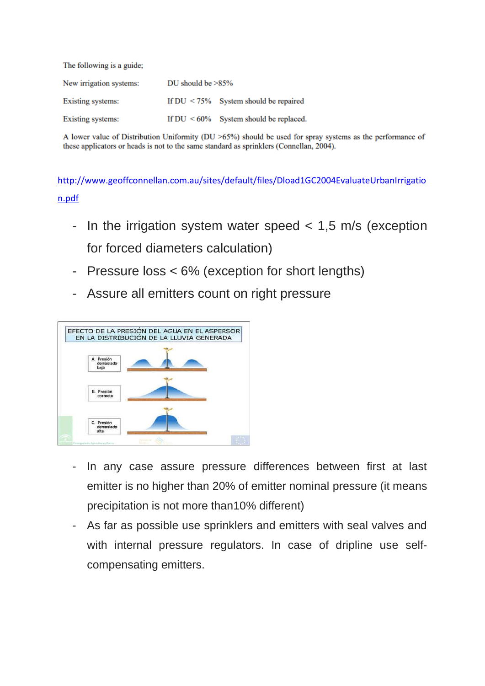The following is a guide;

| New irrigation systems:  | DU should be $>85\%$ |                                           |  |  |  |
|--------------------------|----------------------|-------------------------------------------|--|--|--|
| Existing systems:        |                      | If $DU < 75\%$ System should be repaired  |  |  |  |
| <b>Existing systems:</b> |                      | If $DU < 60\%$ System should be replaced. |  |  |  |

A lower value of Distribution Uniformity (DU >65%) should be used for spray systems as the performance of these applicators or heads is not to the same standard as sprinklers (Connellan, 2004).

[http://www.geoffconnellan.com.au/sites/default/files/Dload1GC2004EvaluateUrbanIrrigatio](http://www.geoffconnellan.com.au/sites/default/files/Dload1GC2004EvaluateUrbanIrrigation.pdf) [n.pdf](http://www.geoffconnellan.com.au/sites/default/files/Dload1GC2004EvaluateUrbanIrrigation.pdf)

- In the irrigation system water speed < 1,5 m/s (exception for forced diameters calculation)
- Pressure loss < 6% (exception for short lengths)
- Assure all emitters count on right pressure



- In any case assure pressure differences between first at last emitter is no higher than 20% of emitter nominal pressure (it means precipitation is not more than10% different)
- As far as possible use sprinklers and emitters with seal valves and with internal pressure regulators. In case of dripline use selfcompensating emitters.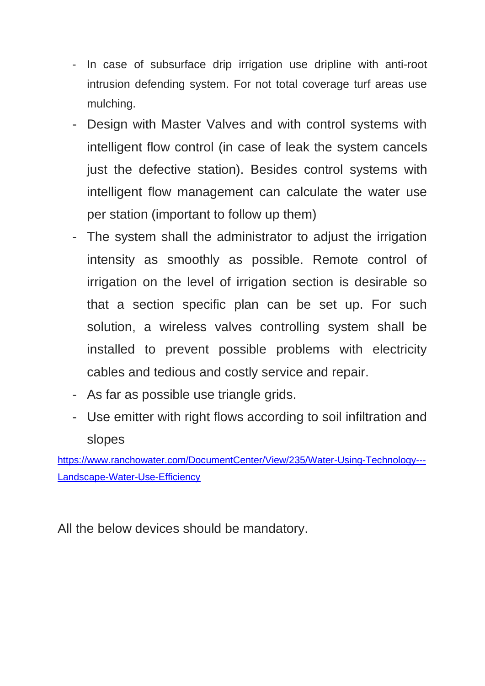- In case of subsurface drip irrigation use dripline with anti-root intrusion defending system. For not total coverage turf areas use mulching.
- Design with Master Valves and with control systems with intelligent flow control (in case of leak the system cancels just the defective station). Besides control systems with intelligent flow management can calculate the water use per station (important to follow up them)
- The system shall the administrator to adjust the irrigation intensity as smoothly as possible. Remote control of irrigation on the level of irrigation section is desirable so that a section specific plan can be set up. For such solution, a wireless valves controlling system shall be installed to prevent possible problems with electricity cables and tedious and costly service and repair.
- As far as possible use triangle grids.
- Use emitter with right flows according to soil infiltration and slopes

[https://www.ranchowater.com/DocumentCenter/View/235/Water-Using-Technology---](https://www.ranchowater.com/DocumentCenter/View/235/Water-Using-Technology---Landscape-Water-Use-Efficiency) [Landscape-Water-Use-Efficiency](https://www.ranchowater.com/DocumentCenter/View/235/Water-Using-Technology---Landscape-Water-Use-Efficiency)

All the below devices should be mandatory.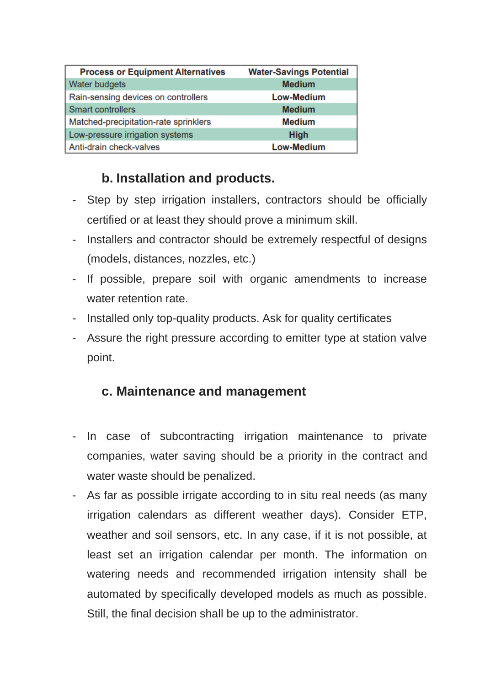| <b>Process or Equipment Alternatives</b> | <b>Water-Savings Potential</b> |
|------------------------------------------|--------------------------------|
| Water budgets                            | <b>Medium</b>                  |
| Rain-sensing devices on controllers      | <b>Low-Medium</b>              |
| <b>Smart controllers</b>                 | <b>Medium</b>                  |
| Matched-precipitation-rate sprinklers    | <b>Medium</b>                  |
| Low-pressure irrigation systems          | <b>High</b>                    |
| Anti-drain check-valves                  | <b>Low-Medium</b>              |

# **b. Installation and products.**

- Step by step irrigation installers, contractors should be officially certified or at least they should prove a minimum skill.
- Installers and contractor should be extremely respectful of designs (models, distances, nozzles, etc.)
- If possible, prepare soil with organic amendments to increase water retention rate.
- Installed only top-quality products. Ask for quality certificates
- Assure the right pressure according to emitter type at station valve point.

## **c. Maintenance and management**

- In case of subcontracting irrigation maintenance to private companies, water saving should be a priority in the contract and water waste should be penalized.
- As far as possible irrigate according to in situ real needs (as many irrigation calendars as different weather days). Consider ETP, weather and soil sensors, etc. In any case, if it is not possible, at least set an irrigation calendar per month. The information on watering needs and recommended irrigation intensity shall be automated by specifically developed models as much as possible. Still, the final decision shall be up to the administrator.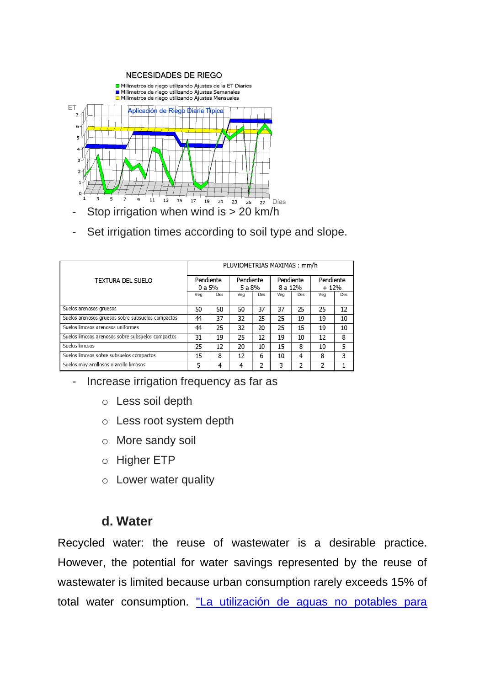

Set irrigation times according to soil type and slope.

|                                                   |     |                      | PLUVIOMETRIAS MAXIMAS: mm/h |                     |     |                      |     |                     |  |
|---------------------------------------------------|-----|----------------------|-----------------------------|---------------------|-----|----------------------|-----|---------------------|--|
| TEXTURA DEL SUELO                                 |     | Pendiente<br>$0a5\%$ |                             | Pendiente<br>5 a 8% |     | Pendiente<br>8 a 12% |     | Pendiente<br>$+12%$ |  |
|                                                   | Vea | Des                  | Vea                         | Des                 | Vea | Des                  | Veg | Des                 |  |
| Suelos arenosos gruesos                           | 50  | 50                   | 50                          | 37                  | 37  | 25                   | 25  | 12                  |  |
| Suelos arenosos gruesos sobre subsuelos compactos | 44  | 37                   | 32                          | 25                  | 25  | 19                   | 19  | 10                  |  |
| Suelos limosos arenosos uniformes                 | 44  | 25                   | 32                          | 20                  | 25  | 15                   | 19  | 10                  |  |
| Suelos limosos arenosos sobre subsuelos compactos | 31  | 19                   | 25                          | 12                  | 19  | 10                   | 12  | 8                   |  |
| Suelos limosos                                    | 25  | 12                   | 20                          | 10                  | 15  | 8                    | 10  | 5                   |  |
| Suelos limosos sobre subsuelos compactos          | 15  | 8                    | 12                          | 6                   | 10  | 4                    | 8   | 3                   |  |
| Suelos muy arcillosos o arcillo limosos           |     | 4                    | 4                           | 2                   | 3   | 2                    | 2   |                     |  |

- Increase irrigation frequency as far as
	- o Less soil depth
	- o Less root system depth
	- o More sandy soil
	- o Higher ETP
	- o Lower water quality

#### **d. Water**

Recycled water: the reuse of wastewater is a desirable practice. However, the potential for water savings represented by the reuse of wastewater is limited because urban consumption rarely exceeds 15% of total water consumption. "La utilización de aguas no potables para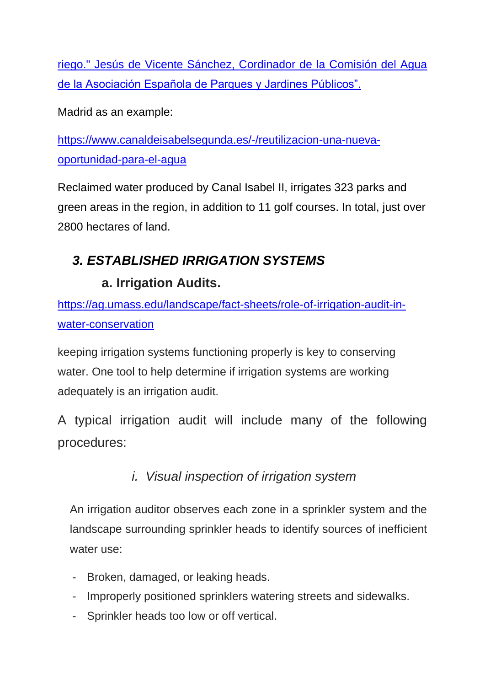riego." Jesús de Vicente Sánchez, Cordinador de la Comisión del Agua de la Asociación Española de Parques y Jardines Públicos".

Madrid as an example:

[https://www.canaldeisabelsegunda.es/-/reutilizacion-una-nueva](https://www.canaldeisabelsegunda.es/-/reutilizacion-una-nueva-oportunidad-para-el-agua)[oportunidad-para-el-agua](https://www.canaldeisabelsegunda.es/-/reutilizacion-una-nueva-oportunidad-para-el-agua)

Reclaimed water produced by Canal Isabel II, irrigates 323 parks and green areas in the region, in addition to 11 golf courses. In total, just over 2800 hectares of land.

# *3. ESTABLISHED IRRIGATION SYSTEMS*

# **a. Irrigation Audits.**

[https://ag.umass.edu/landscape/fact-sheets/role-of-irrigation-audit-in](https://ag.umass.edu/landscape/fact-sheets/role-of-irrigation-audit-in-water-conservation)[water-conservation](https://ag.umass.edu/landscape/fact-sheets/role-of-irrigation-audit-in-water-conservation)

keeping irrigation systems functioning properly is key to conserving water. One tool to help determine if irrigation systems are working adequately is an irrigation audit.

A typical irrigation audit will include many of the following procedures:

# *i. Visual inspection of irrigation system*

An irrigation auditor observes each zone in a sprinkler system and the landscape surrounding sprinkler heads to identify sources of inefficient water use:

- Broken, damaged, or leaking heads.
- Improperly positioned sprinklers watering streets and sidewalks.
- Sprinkler heads too low or off vertical.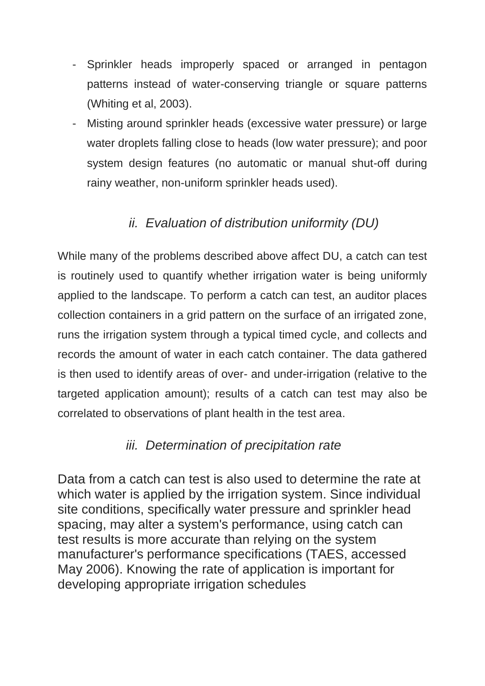- Sprinkler heads improperly spaced or arranged in pentagon patterns instead of water-conserving triangle or square patterns (Whiting et al, 2003).
- Misting around sprinkler heads (excessive water pressure) or large water droplets falling close to heads (low water pressure); and poor system design features (no automatic or manual shut-off during rainy weather, non-uniform sprinkler heads used).

## *ii. Evaluation of distribution uniformity (DU)*

While many of the problems described above affect DU, a catch can test is routinely used to quantify whether irrigation water is being uniformly applied to the landscape. To perform a catch can test, an auditor places collection containers in a grid pattern on the surface of an irrigated zone, runs the irrigation system through a typical timed cycle, and collects and records the amount of water in each catch container. The data gathered is then used to identify areas of over- and under-irrigation (relative to the targeted application amount); results of a catch can test may also be correlated to observations of plant health in the test area.

### *iii. Determination of precipitation rate*

Data from a catch can test is also used to determine the rate at which water is applied by the irrigation system. Since individual site conditions, specifically water pressure and sprinkler head spacing, may alter a system's performance, using catch can test results is more accurate than relying on the system manufacturer's performance specifications (TAES, accessed May 2006). Knowing the rate of application is important for developing appropriate irrigation schedules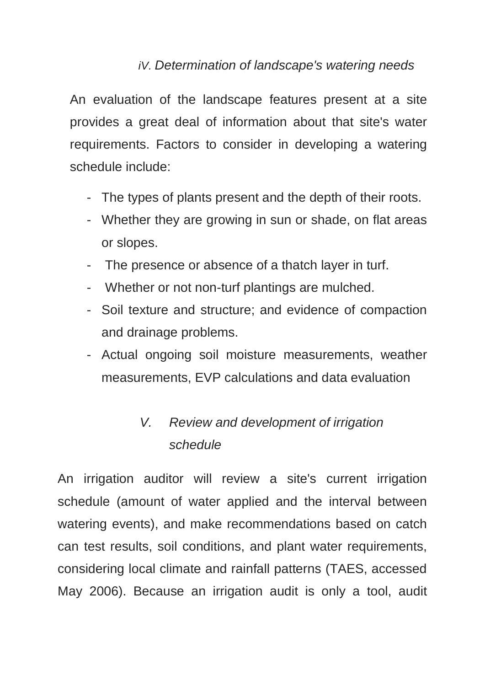### *iV. Determination of landscape's watering needs*

An evaluation of the landscape features present at a site provides a great deal of information about that site's water requirements. Factors to consider in developing a watering schedule include:

- The types of plants present and the depth of their roots.
- Whether they are growing in sun or shade, on flat areas or slopes.
- The presence or absence of a thatch layer in turf.
- Whether or not non-turf plantings are mulched.
- Soil texture and structure; and evidence of compaction and drainage problems.
- Actual ongoing soil moisture measurements, weather measurements, EVP calculations and data evaluation

# *V. Review and development of irrigation schedule*

An irrigation auditor will review a site's current irrigation schedule (amount of water applied and the interval between watering events), and make recommendations based on catch can test results, soil conditions, and plant water requirements, considering local climate and rainfall patterns (TAES, accessed May 2006). Because an irrigation audit is only a tool, audit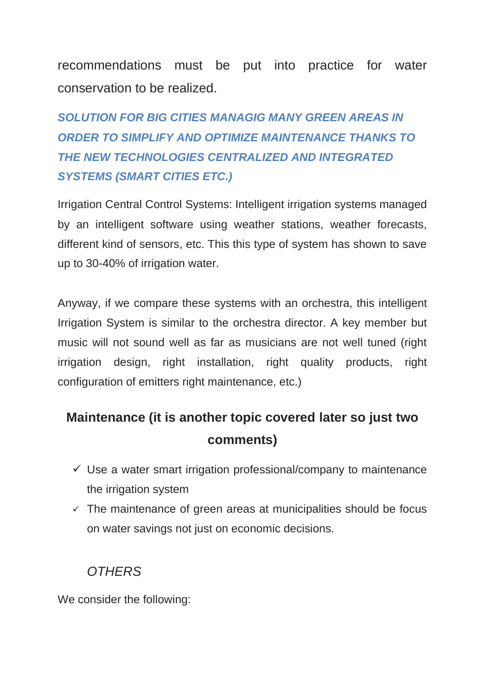recommendations must be put into practice for water conservation to be realized.

# *SOLUTION FOR BIG CITIES MANAGIG MANY GREEN AREAS IN ORDER TO SIMPLIFY AND OPTIMIZE MAINTENANCE THANKS TO THE NEW TECHNOLOGIES CENTRALIZED AND INTEGRATED SYSTEMS (SMART CITIES ETC.)*

Irrigation Central Control Systems: Intelligent irrigation systems managed by an intelligent software using weather stations, weather forecasts, different kind of sensors, etc. This this type of system has shown to save up to 30-40% of irrigation water.

Anyway, if we compare these systems with an orchestra, this intelligent Irrigation System is similar to the orchestra director. A key member but music will not sound well as far as musicians are not well tuned (right irrigation design, right installation, right quality products, right configuration of emitters right maintenance, etc.)

# **Maintenance (it is another topic covered later so just two comments)**

- $\checkmark$  Use a water smart irrigation professional/company to maintenance the irrigation system
- $\checkmark$  The maintenance of green areas at municipalities should be focus on water savings not just on economic decisions.

## *OTHERS*

We consider the following: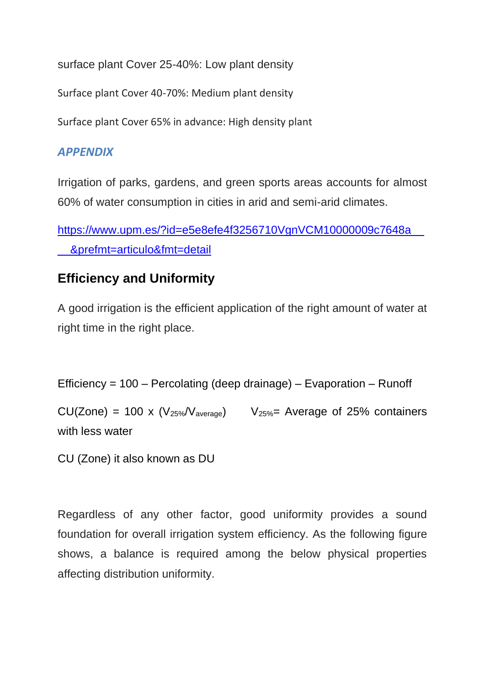surface plant Cover 25-40%: Low plant density

Surface plant Cover 40-70%: Medium plant density

Surface plant Cover 65% in advance: High density plant

#### *APPENDIX*

Irrigation of parks, gardens, and green sports areas accounts for almost 60% of water consumption in cities in arid and semi-arid climates.

[https://www.upm.es/?id=e5e8efe4f3256710VgnVCM10000009c7648a\\_\\_](https://www.upm.es/?id=e5e8efe4f3256710VgnVCM10000009c7648a____&prefmt=articulo&fmt=detail) [\\_\\_&prefmt=articulo&fmt=detail](https://www.upm.es/?id=e5e8efe4f3256710VgnVCM10000009c7648a____&prefmt=articulo&fmt=detail)

## **Efficiency and Uniformity**

A good irrigation is the efficient application of the right amount of water at right time in the right place.

Efficiency = 100 – Percolating (deep drainage) – Evaporation – Runoff

 $CU(Zone) = 100 \times (V_{25\%}/V_{average})$   $V_{25\%} = Average$  of 25% containers with less water

CU (Zone) it also known as DU

Regardless of any other factor, good uniformity provides a sound foundation for overall irrigation system efficiency. As the following figure shows, a balance is required among the below physical properties affecting distribution uniformity.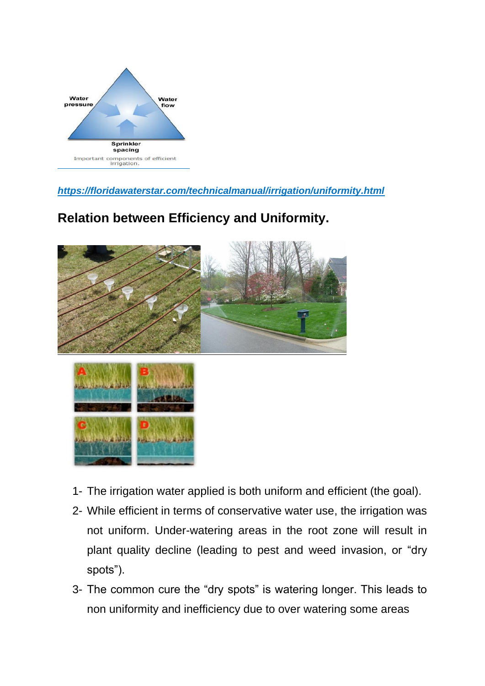

#### *https://floridawaterstar.com/technicalmanual/irrigation/uniformity.html*

## **Relation between Efficiency and Uniformity.**





- 1- The irrigation water applied is both uniform and efficient (the goal).
- 2- While efficient in terms of conservative water use, the irrigation was not uniform. Under-watering areas in the root zone will result in plant quality decline (leading to pest and weed invasion, or "dry spots").
- 3- The common cure the "dry spots" is watering longer. This leads to non uniformity and inefficiency due to over watering some areas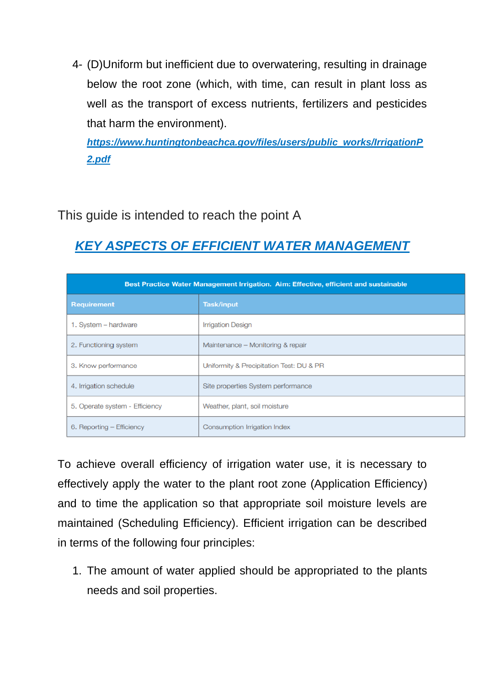4- (D)Uniform but inefficient due to overwatering, resulting in drainage below the root zone (which, with time, can result in plant loss as well as the transport of excess nutrients, fertilizers and pesticides that harm the environment).

*https://www.huntingtonbeachca.gov/files/users/public\_works/IrrigationP 2.pdf*

This guide is intended to reach the point A

# *KEY ASPECTS OF EFFICIENT WATER MANAGEMENT*

| Best Practice Water Management Irrigation. Aim: Effective, efficient and sustainable |                                          |  |  |  |
|--------------------------------------------------------------------------------------|------------------------------------------|--|--|--|
| <b>Requirement</b>                                                                   | <b>Task/input</b>                        |  |  |  |
| 1. System - hardware                                                                 | <b>Irrigation Design</b>                 |  |  |  |
| 2. Functioning system                                                                | Maintenance - Monitoring & repair        |  |  |  |
| 3. Know performance                                                                  | Uniformity & Precipitation Test: DU & PR |  |  |  |
| 4. Irrigation schedule                                                               | Site properties System performance       |  |  |  |
| 5. Operate system - Efficiency                                                       | Weather, plant, soil moisture            |  |  |  |
| 6. Reporting – Efficiency                                                            | Consumption Irrigation Index             |  |  |  |

To achieve overall efficiency of irrigation water use, it is necessary to effectively apply the water to the plant root zone (Application Efficiency) and to time the application so that appropriate soil moisture levels are maintained (Scheduling Efficiency). Efficient irrigation can be described in terms of the following four principles:

1. The amount of water applied should be appropriated to the plants needs and soil properties.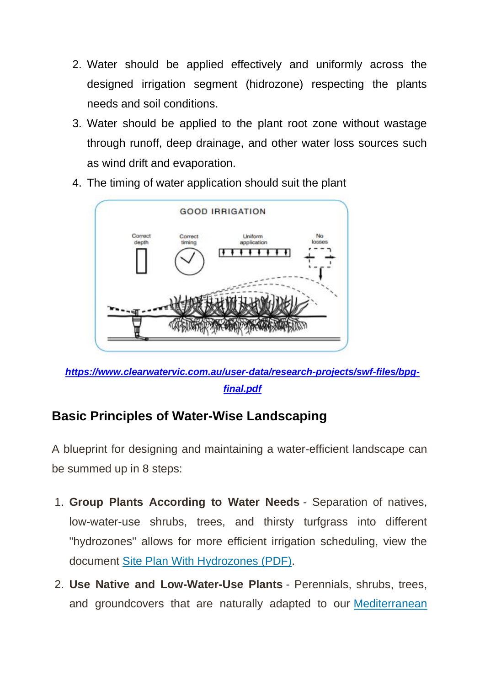- 2. Water should be applied effectively and uniformly across the designed irrigation segment (hidrozone) respecting the plants needs and soil conditions.
- 3. Water should be applied to the plant root zone without wastage through runoff, deep drainage, and other water loss sources such as wind drift and evaporation.
	- **GOOD IRRIGATION** Correct Uniform Correct application depth timing
- 4. The timing of water application should suit the plant

*[https://www.clearwatervic.com.au/user-data/research-projects/swf-files/bpg](https://www.clearwatervic.com.au/user-data/research-projects/swf-files/bpg-final.pdf)[final.pdf](https://www.clearwatervic.com.au/user-data/research-projects/swf-files/bpg-final.pdf)*

# **Basic Principles of Water-Wise Landscaping**

A blueprint for designing and maintaining a water-efficient landscape can be summed up in 8 steps:

- 1. **Group Plants According to Water Needs** Separation of natives, low-water-use shrubs, trees, and thirsty turfgrass into different "hydrozones" allows for more efficient irrigation scheduling, view the document [Site Plan With Hydrozones \(PDF\).](https://www.cityofnapa.org/DocumentCenter/View/1322)
- 2. **Use Native and Low-Water-Use Plants** Perennials, shrubs, trees, and groundcovers that are naturally adapted to our **Mediterranean**